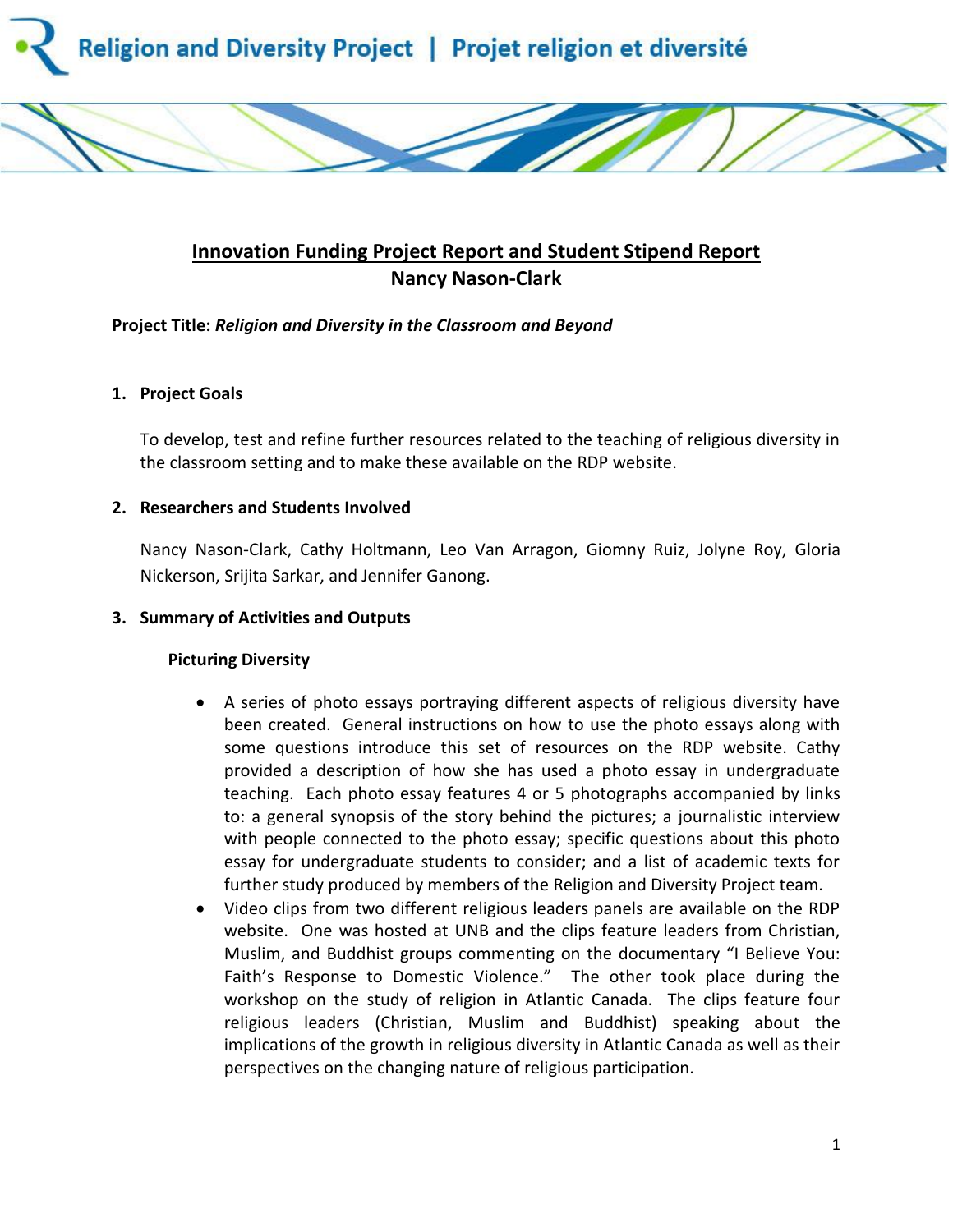

# **Innovation Funding Project Report and Student Stipend Report Nancy Nason-Clark**

#### **Project Title:** *Religion and Diversity in the Classroom and Beyond*

#### **1. Project Goals**

To develop, test and refine further resources related to the teaching of religious diversity in the classroom setting and to make these available on the RDP website.

#### **2. Researchers and Students Involved**

Nancy Nason-Clark, Cathy Holtmann, Leo Van Arragon, Giomny Ruiz, Jolyne Roy, Gloria Nickerson, Srijita Sarkar, and Jennifer Ganong.

#### **3. Summary of Activities and Outputs**

#### **Picturing Diversity**

- A series of photo essays portraying different aspects of religious diversity have been created. General instructions on how to use the photo essays along with some questions introduce this set of resources on the RDP website. Cathy provided a description of how she has used a photo essay in undergraduate teaching. Each photo essay features 4 or 5 photographs accompanied by links to: a general synopsis of the story behind the pictures; a journalistic interview with people connected to the photo essay; specific questions about this photo essay for undergraduate students to consider; and a list of academic texts for further study produced by members of the Religion and Diversity Project team.
- Video clips from two different religious leaders panels are available on the RDP website. One was hosted at UNB and the clips feature leaders from Christian, Muslim, and Buddhist groups commenting on the documentary "I Believe You: Faith's Response to Domestic Violence." The other took place during the workshop on the study of religion in Atlantic Canada. The clips feature four religious leaders (Christian, Muslim and Buddhist) speaking about the implications of the growth in religious diversity in Atlantic Canada as well as their perspectives on the changing nature of religious participation.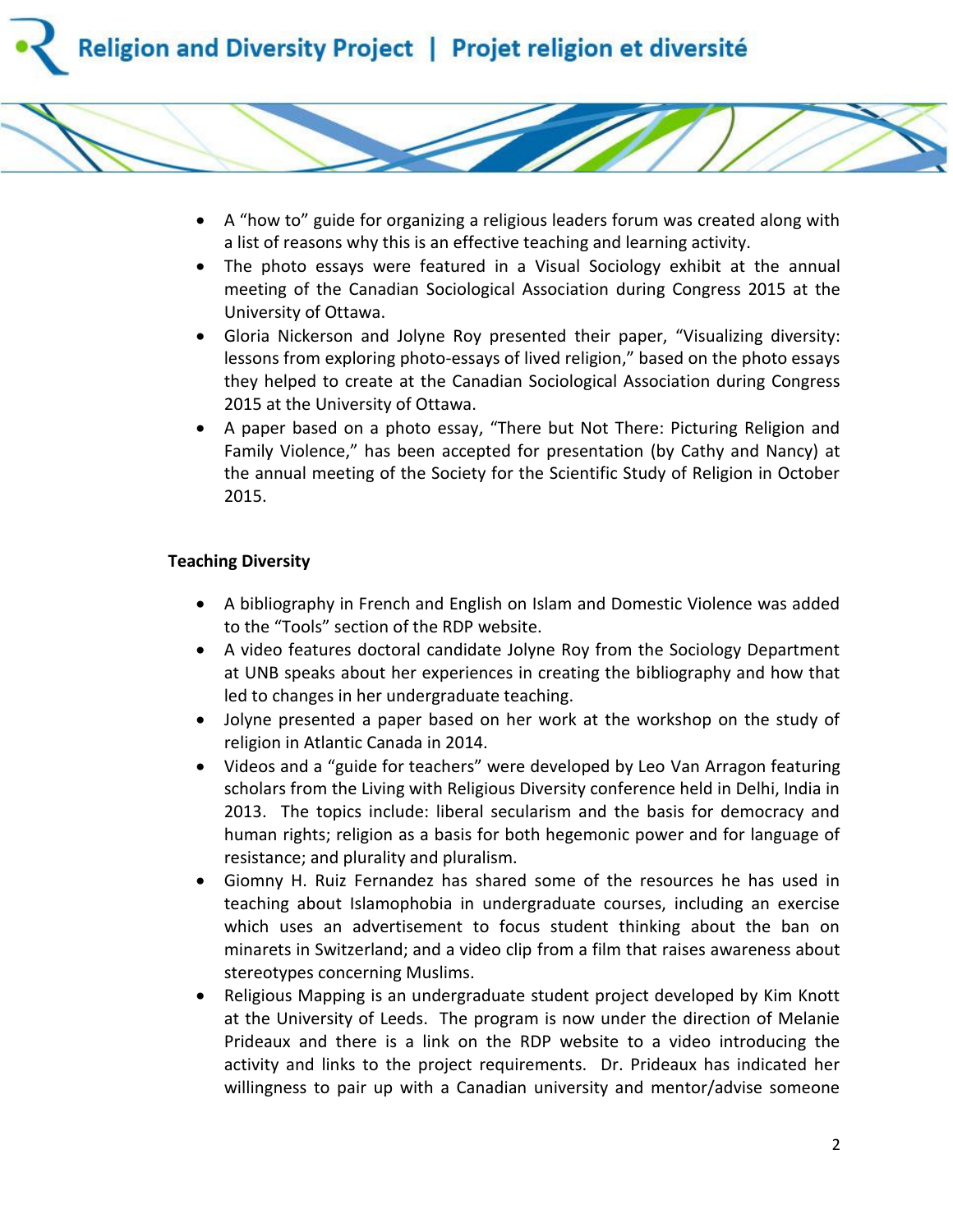

- A "how to" guide for organizing a religious leaders forum was created along with a list of reasons why this is an effective teaching and learning activity.
- The photo essays were featured in a Visual Sociology exhibit at the annual meeting of the Canadian Sociological Association during Congress 2015 at the University of Ottawa.
- Gloria Nickerson and Jolyne Roy presented their paper, "Visualizing diversity: lessons from exploring photo-essays of lived religion," based on the photo essays they helped to create at the Canadian Sociological Association during Congress 2015 at the University of Ottawa.
- A paper based on a photo essay, "There but Not There: Picturing Religion and Family Violence," has been accepted for presentation (by Cathy and Nancy) at the annual meeting of the Society for the Scientific Study of Religion in October 2015.

#### **Teaching Diversity**

- A bibliography in French and English on Islam and Domestic Violence was added to the "Tools" section of the RDP website.
- A video features doctoral candidate Jolyne Roy from the Sociology Department at UNB speaks about her experiences in creating the bibliography and how that led to changes in her undergraduate teaching.
- Jolyne presented a paper based on her work at the workshop on the study of religion in Atlantic Canada in 2014.
- Videos and a "guide for teachers" were developed by Leo Van Arragon featuring scholars from the Living with Religious Diversity conference held in Delhi, India in 2013. The topics include: liberal secularism and the basis for democracy and human rights; religion as a basis for both hegemonic power and for language of resistance; and plurality and pluralism.
- Giomny H. Ruiz Fernandez has shared some of the resources he has used in teaching about Islamophobia in undergraduate courses, including an exercise which uses an advertisement to focus student thinking about the ban on minarets in Switzerland; and a video clip from a film that raises awareness about stereotypes concerning Muslims.
- Religious Mapping is an undergraduate student project developed by Kim Knott at the University of Leeds. The program is now under the direction of Melanie Prideaux and there is a link on the RDP website to a video introducing the activity and links to the project requirements. Dr. Prideaux has indicated her willingness to pair up with a Canadian university and mentor/advise someone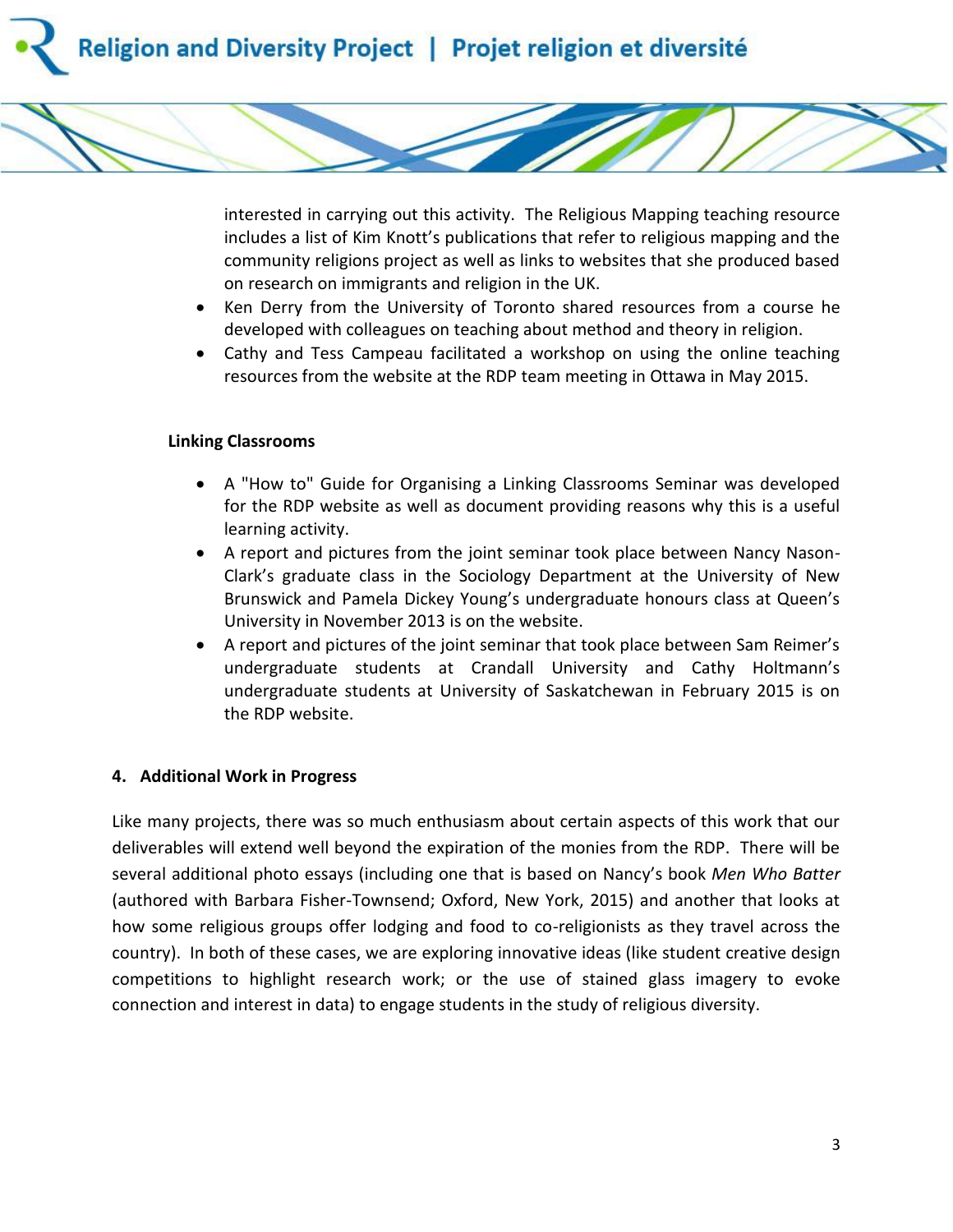



interested in carrying out this activity. The Religious Mapping teaching resource includes a list of Kim Knott's publications that refer to religious mapping and the community religions project as well as links to websites that she produced based on research on immigrants and religion in the UK.

- Ken Derry from the University of Toronto shared resources from a course he developed with colleagues on teaching about method and theory in religion.
- Cathy and Tess Campeau facilitated a workshop on using the online teaching resources from the website at the RDP team meeting in Ottawa in May 2015.

### **Linking Classrooms**

- A "How to" Guide for Organising a Linking Classrooms Seminar was developed for the RDP website as well as document providing reasons why this is a useful learning activity.
- A report and pictures from the joint seminar took place between Nancy Nason-Clark's graduate class in the Sociology Department at the University of New Brunswick and Pamela Dickey Young's undergraduate honours class at Queen's University in November 2013 is on the website.
- A report and pictures of the joint seminar that took place between Sam Reimer's undergraduate students at Crandall University and Cathy Holtmann's undergraduate students at University of Saskatchewan in February 2015 is on the RDP website.

## **4. Additional Work in Progress**

Like many projects, there was so much enthusiasm about certain aspects of this work that our deliverables will extend well beyond the expiration of the monies from the RDP. There will be several additional photo essays (including one that is based on Nancy's book *Men Who Batter*  (authored with Barbara Fisher-Townsend; Oxford, New York, 2015) and another that looks at how some religious groups offer lodging and food to co-religionists as they travel across the country). In both of these cases, we are exploring innovative ideas (like student creative design competitions to highlight research work; or the use of stained glass imagery to evoke connection and interest in data) to engage students in the study of religious diversity.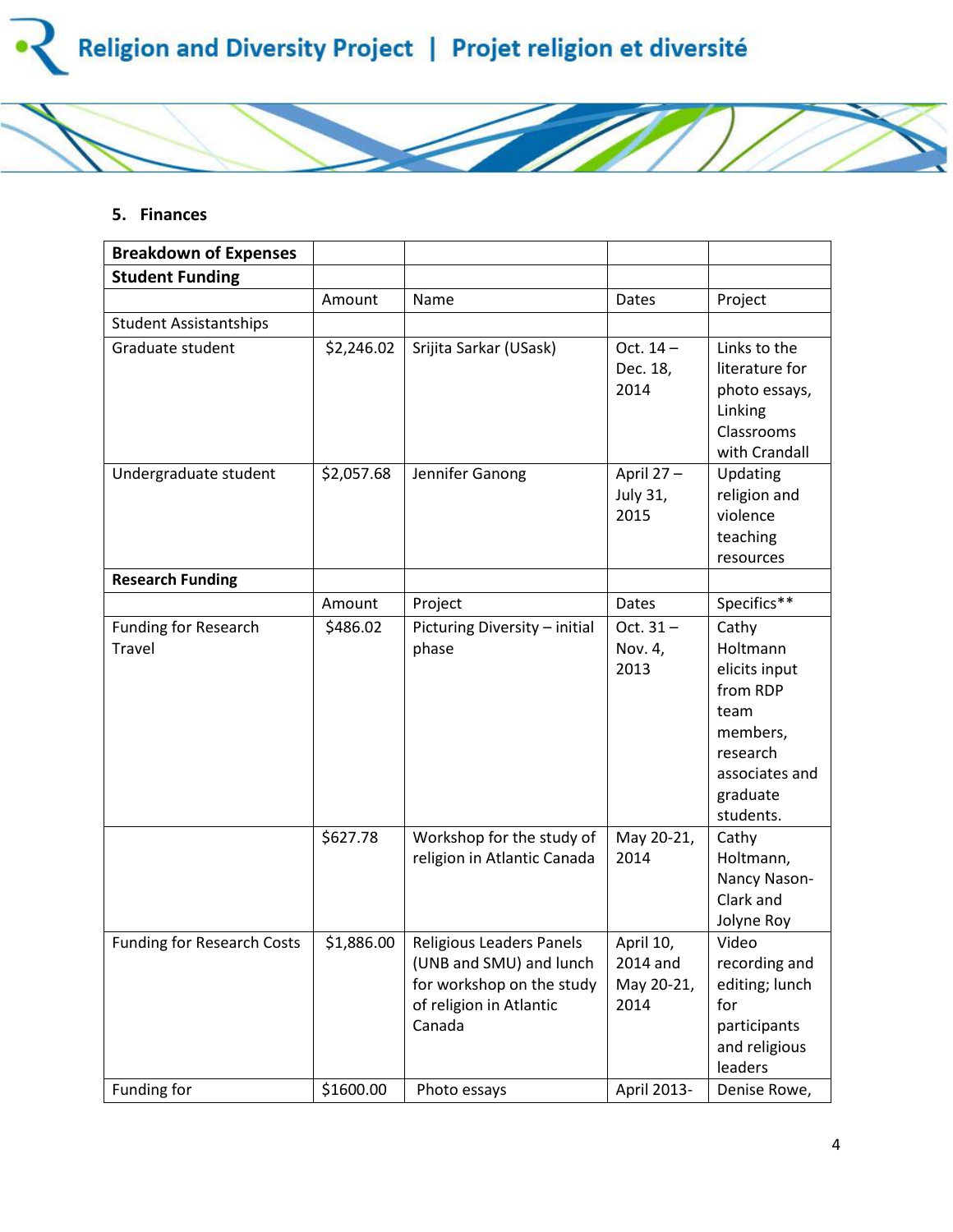

#### **5. Finances**

| <b>Breakdown of Expenses</b>          |            |                                                                                                                       |                                             |                                                                                                                           |
|---------------------------------------|------------|-----------------------------------------------------------------------------------------------------------------------|---------------------------------------------|---------------------------------------------------------------------------------------------------------------------------|
| <b>Student Funding</b>                |            |                                                                                                                       |                                             |                                                                                                                           |
|                                       | Amount     | Name                                                                                                                  | <b>Dates</b>                                | Project                                                                                                                   |
| <b>Student Assistantships</b>         |            |                                                                                                                       |                                             |                                                                                                                           |
| Graduate student                      | \$2,246.02 | Srijita Sarkar (USask)                                                                                                | Oct. $14-$<br>Dec. 18,<br>2014              | Links to the<br>literature for<br>photo essays,<br>Linking<br>Classrooms<br>with Crandall                                 |
| Undergraduate student                 | \$2,057.68 | Jennifer Ganong                                                                                                       | April 27-<br>July 31,<br>2015               | Updating<br>religion and<br>violence<br>teaching<br>resources                                                             |
| <b>Research Funding</b>               |            |                                                                                                                       |                                             |                                                                                                                           |
|                                       | Amount     | Project                                                                                                               | <b>Dates</b>                                | Specifics**                                                                                                               |
| <b>Funding for Research</b><br>Travel | \$486.02   | Picturing Diversity - initial<br>phase                                                                                | Oct. $31 -$<br>Nov. 4,<br>2013              | Cathy<br>Holtmann<br>elicits input<br>from RDP<br>team<br>members,<br>research<br>associates and<br>graduate<br>students. |
|                                       | \$627.78   | Workshop for the study of<br>religion in Atlantic Canada                                                              | May 20-21,<br>2014                          | Cathy<br>Holtmann,<br>Nancy Nason-<br>Clark and<br>Jolyne Roy                                                             |
| <b>Funding for Research Costs</b>     | \$1,886.00 | Religious Leaders Panels<br>(UNB and SMU) and lunch<br>for workshop on the study<br>of religion in Atlantic<br>Canada | April 10,<br>2014 and<br>May 20-21,<br>2014 | Video<br>recording and<br>editing; lunch<br>for<br>participants<br>and religious<br>leaders                               |
| Funding for                           | \$1600.00  | Photo essays                                                                                                          | April 2013-                                 | Denise Rowe,                                                                                                              |